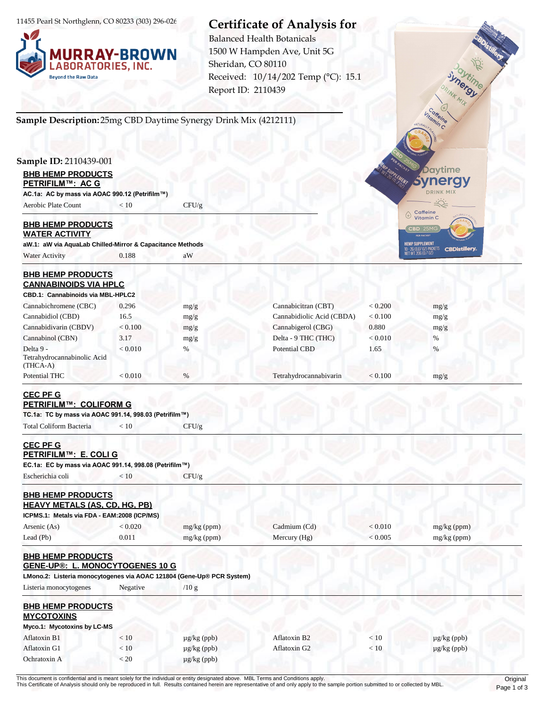11455 Pearl St Northglenn, CO 80233 (303) 296-0264



# **Certificate of Analysis for**

Report ID: 2110439 Balanced Health Botanicals 1500 W Hampden Ave, Unit 5G Sheridan, CO 80110 Received: 10/14/202 Temp (°C): 15.1

## **Sample Description:** 25mg CBD Daytime Synergy Drink Mix (4212111)

#### **Sample ID:** 2110439-001

| <b>BHB HEMP PRODUCTS</b><br><b>PETRIFILM™: AC G</b> |      |       |  |  |
|-----------------------------------------------------|------|-------|--|--|
| AC.1a: AC by mass via AOAC 990.12 (Petrifilm™)      |      |       |  |  |
| Aerobic Plate Count                                 | < 10 | CFU/g |  |  |

#### **BHB HEMP PRODUCTS WATER ACTIVITY**

**aW.1: aW via AquaLab Chilled-Mirror & Capacitance Methods** Water Activity 0.188 aW

## **BHB HEMP PRODUCTS CANNABINOIDS VIA HPLC**

| CBD.1: Cannabinoids via MBL-HPLC2                    |         |      |                           |         |      |
|------------------------------------------------------|---------|------|---------------------------|---------|------|
| Cannabichromene (CBC)                                | 0.296   | mg/g | Cannabicitran (CBT)       | < 0.200 | mg/g |
| Cannabidiol (CBD)                                    | 16.5    | mg/g | Cannabidiolic Acid (CBDA) | < 0.100 | mg/g |
| Cannabidivarin (CBDV)                                | < 0.100 | mg/g | Cannabigerol (CBG)        | 0.880   | mg/g |
| Cannabinol (CBN)                                     | 3.17    | mg/g | Delta - 9 THC (THC)       | < 0.010 | %    |
| Delta 9 -<br>Tetrahydrocannabinolic Acid<br>(THCA-A) | < 0.010 | %    | Potential CBD             | 1.65    | %    |
| <b>Potential THC</b>                                 | < 0.010 | $\%$ | Tetrahydrocannabivarin    | < 0.100 | mg/g |

## **CEC PF G PETRIFILM™: COLIFORM G**

**TC.1a: TC by mass via AOAC 991.14, 998.03 (Petrifilm™)**

Total Coliform Bacteria  $< 10$  CFU/g

#### **CEC PF G PETPIEILM™: E. COLLG**

|  | <u>LETIMI IEM : E. OOLI O</u>                          |  |
|--|--------------------------------------------------------|--|
|  | EC.1a: EC by mass via AOAC 991.14, 998.08 (Petrifilm™) |  |

Escherichia coli  $\langle 10 \rangle$  CFU/g

#### **BHB HEMP PRODUCTS HEAVY METALS (AS, CD, HG, PB)**

| ICPMS.1: Metals via FDA - EAM:2008 (ICP/MS) |       |               |              |         |               |  |
|---------------------------------------------|-------|---------------|--------------|---------|---------------|--|
| Arsenic (As)                                | 0.020 | $mg/kg$ (ppm) | Cadmium (Cd) | : 0.010 | $mg/kg$ (ppm) |  |
| Lead (Pb)                                   | 0.011 | $mg/kg$ (ppm) | Mercury (Hg) | 0.005   | mg/kg (ppm)   |  |

#### **BHB HEMP PRODUCTS GENE-UP®: L. MONOCYTOGENES 10 G**

**LMono.2: Listeria monocytogenes via AOAC 121804 (Gene-Up® PCR System)**

Listeria monocytogenes Negative /10 g

| <b>BHB HEMP PRODUCTS</b><br><b>MYCOTOXINS</b> |      |                  |              |      |                  |
|-----------------------------------------------|------|------------------|--------------|------|------------------|
| Myco.1: Mycotoxins by LC-MS                   |      |                  |              |      |                  |
| Aflatoxin B1                                  | < 10 | $\mu$ g/kg (ppb) | Aflatoxin B2 | < 10 | $\mu$ g/kg (ppb) |
| Aflatoxin G1                                  | < 10 | $\mu$ g/kg (ppb) | Aflatoxin G2 | < 10 | $\mu$ g/kg (ppb) |
| Ochratoxin A                                  | < 20 | $\mu$ g/kg (ppb) |              |      |                  |

Coffeine **Davtime ynergy DRINK MIX** Caffeine<br>Vitamin C  $\bigoplus$ 

**HEMP SUPPLEMENT** 

Inergy INK MIX

This document is confidential and is meant solely for the individual or entity designated above. MBL Terms and Conditions apply. Criginal This Certificate of Analysis should only be reproduced in full. Results contained herein are representative of and only apply to the sample portion submitted to or collected by MBL.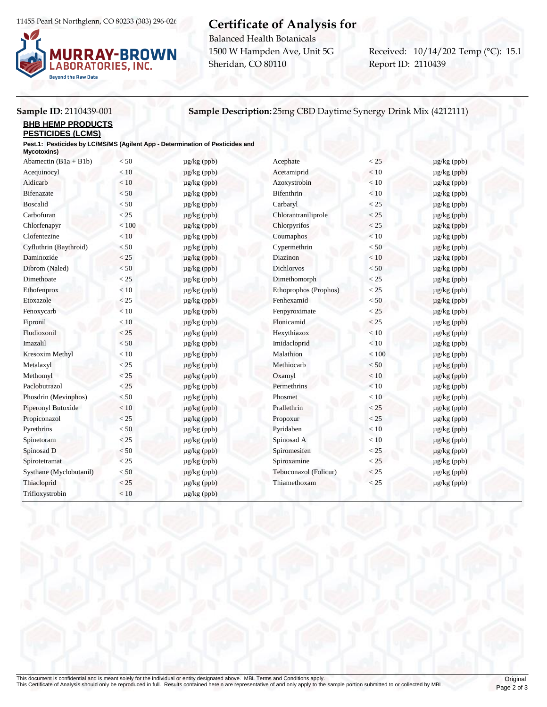11455 Pearl St Northglenn, CO 80233 (303) 296-0264



# **Certificate of Analysis for**

Balanced Health Botanicals 1500 W Hampden Ave, Unit 5G Sheridan, CO 80110

Report ID: 2110439 Received: 10/14/202 Temp (°C): 15.1

## **Sample ID:** 2110439-001 **Sample Description:** 25mg CBD Daytime Synergy Drink Mix (4212111)

**BHB HEMP PRODUCTS**

#### **PESTICIDES (LCMS)**

**Pest.1: Pesticides by LC/MS/MS (Agilent App - Determination of Pesticides and** 

| Mycotoxins)             |         |                  |                       |         |                  |
|-------------------------|---------|------------------|-----------------------|---------|------------------|
| Abamectin $(B1a + B1b)$ | < 50    | $\mu$ g/kg (ppb) | Acephate              | < 25    | $\mu$ g/kg (ppb) |
| Acequinocyl             | < 10    | $\mu$ g/kg (ppb) | Acetamiprid           | < 10    | $\mu$ g/kg (ppb) |
| Aldicarb                | $<10\,$ | $\mu$ g/kg (ppb) | Azoxystrobin          | < 10    | $\mu$ g/kg (ppb) |
| <b>Bifenazate</b>       | < 50    | $\mu$ g/kg (ppb) | <b>Bifenthrin</b>     | < 10    | $\mu$ g/kg (ppb) |
| <b>Boscalid</b>         | < 50    | $\mu$ g/kg (ppb) | Carbaryl              | < 25    | $\mu$ g/kg (ppb) |
| Carbofuran              | < 25    | $\mu$ g/kg (ppb) | Chlorantraniliprole   | < 25    | $\mu$ g/kg (ppb) |
| Chlorfenapyr            | < 100   | $\mu$ g/kg (ppb) | Chlorpyrifos          | < 25    | $\mu$ g/kg (ppb) |
| Clofentezine            | < 10    | $\mu$ g/kg (ppb) | Coumaphos             | < 10    | $\mu$ g/kg (ppb) |
| Cyfluthrin (Baythroid)  | < 50    | $\mu$ g/kg (ppb) | Cypermethrin          | < 50    | $\mu$ g/kg (ppb) |
| Daminozide              | $<25\,$ | $\mu$ g/kg (ppb) | Diazinon              | $<10\,$ | $\mu$ g/kg (ppb) |
| Dibrom (Naled)          | < 50    | $\mu$ g/kg (ppb) | <b>Dichlorvos</b>     | < 50    | $\mu$ g/kg (ppb) |
| Dimethoate              | < 25    | $\mu$ g/kg (ppb) | Dimethomorph          | < 25    | $\mu$ g/kg (ppb) |
| Ethofenprox             | $<10$   | $\mu$ g/kg (ppb) | Ethoprophos (Prophos) | < 25    | $\mu$ g/kg (ppb) |
| Etoxazole               | < 25    | $\mu$ g/kg (ppb) | Fenhexamid            | $< 50$  | $\mu$ g/kg (ppb) |
| Fenoxycarb              | < 10    | $\mu$ g/kg (ppb) | Fenpyroximate         | < 25    | $\mu$ g/kg (ppb) |
| Fipronil                | $<10\,$ | $\mu$ g/kg (ppb) | Flonicamid            | $<25\,$ | $\mu$ g/kg (ppb) |
| Fludioxonil             | < 25    | $\mu$ g/kg (ppb) | Hexythiazox           | $<10$   | $\mu$ g/kg (ppb) |
| Imazalil                | < 50    | $\mu$ g/kg (ppb) | Imidacloprid          | < 10    | $\mu$ g/kg (ppb) |
| Kresoxim Methyl         | $<10$   | $\mu$ g/kg (ppb) | Malathion             | < 100   | $\mu$ g/kg (ppb) |
| Metalaxyl               | < 25    | $\mu$ g/kg (ppb) | Methiocarb            | < 50    | $\mu$ g/kg (ppb) |
| Methomyl                | < 25    | $\mu$ g/kg (ppb) | Oxamyl                | $<10\,$ | $\mu$ g/kg (ppb) |
| Paclobutrazol           | < 25    | $\mu$ g/kg (ppb) | Permethrins           | < 10    | $\mu$ g/kg (ppb) |
| Phosdrin (Mevinphos)    | $< 50$  | $\mu$ g/kg (ppb) | Phosmet               | < 10    | $\mu$ g/kg (ppb) |
| Piperonyl Butoxide      | $<10\,$ | $\mu$ g/kg (ppb) | Prallethrin           | < 25    | $\mu$ g/kg (ppb) |
| Propiconazol            | < 25    | $\mu$ g/kg (ppb) | Propoxur              | < 25    | µg/kg (ppb)      |
| Pyrethrins              | < 50    | $\mu$ g/kg (ppb) | Pyridaben             | < 10    | $\mu$ g/kg (ppb) |
| Spinetoram              | < 25    | $\mu$ g/kg (ppb) | Spinosad A            | $<10$   | $\mu$ g/kg (ppb) |
| Spinosad D              | < 50    | $\mu$ g/kg (ppb) | Spiromesifen          | $<25\,$ | $\mu$ g/kg (ppb) |
| Spirotetramat           | < 25    | $\mu$ g/kg (ppb) | Spiroxamine           | < 25    | $\mu$ g/kg (ppb) |
| Systhane (Myclobutanil) | < 50    | $\mu$ g/kg (ppb) | Tebuconazol (Folicur) | $<25\,$ | $\mu$ g/kg (ppb) |
| Thiacloprid             | < 25    | $\mu$ g/kg (ppb) | Thiamethoxam          | < 25    | $\mu$ g/kg (ppb) |
| Trifloxystrobin         | < 10    | µg/kg (ppb)      |                       |         |                  |
|                         |         |                  |                       |         |                  |

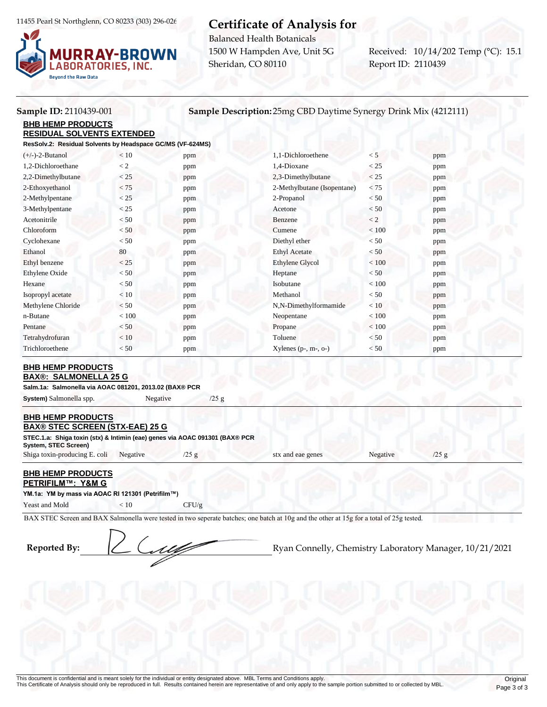11455 Pearl St Northglenn, CO 80233 (303) 296-0264



# **Certificate of Analysis for**

Balanced Health Botanicals 1500 W Hampden Ave, Unit 5G Sheridan, CO 80110

Report ID: 2110439 Received: 10/14/202 Temp (°C): 15.1

## **Sample ID:** 2110439-001 **Sample Description:** 25mg CBD Daytime Synergy Drink Mix (4212111)

**BHB HEMP PRODUCTS RESIDUAL SOLVENTS EXTENDED**

**ResSolv.2: Residual Solvents by Headspace GC/MS (VF-624MS)**

| $(+/-)-2-Butanol$     | < 10    | ppm | 1,1-Dichloroethene          | < 5     | ppm |  |
|-----------------------|---------|-----|-----------------------------|---------|-----|--|
| 1,2-Dichloroethane    | $\lt 2$ | ppm | 1,4-Dioxane                 | < 25    | ppm |  |
| 2,2-Dimethylbutane    | < 25    | ppm | 2,3-Dimethylbutane          | < 25    | ppm |  |
| 2-Ethoxyethanol       | < 75    | ppm | 2-Methylbutane (Isopentane) | < 75    | ppm |  |
| 2-Methylpentane       | < 25    | ppm | 2-Propanol                  | < 50    | ppm |  |
| 3-Methylpentane       | < 25    | ppm | Acetone                     | < 50    | ppm |  |
| Acetonitrile          | < 50    | ppm | Benzene                     | $\lt 2$ | ppm |  |
| Chloroform            | < 50    | ppm | Cumene                      | $<100$  | ppm |  |
| Cyclohexane           | < 50    | ppm | Diethyl ether               | < 50    | ppm |  |
| Ethanol               | 80      | ppm | <b>Ethyl Acetate</b>        | < 50    | ppm |  |
| Ethyl benzene         | < 25    | ppm | <b>Ethylene Glycol</b>      | < 100   | ppm |  |
| <b>Ethylene Oxide</b> | < 50    | ppm | Heptane                     | < 50    | ppm |  |
| Hexane                | < 50    | ppm | Isobutane                   | < 100   | ppm |  |
| Isopropyl acetate     | < 10    | ppm | Methanol                    | < 50    | ppm |  |
| Methylene Chloride    | < 50    | ppm | N,N-Dimethylformamide       | < 10    | ppm |  |
| n-Butane              | < 100   | ppm | Neopentane                  | < 100   | ppm |  |
| Pentane               | < 50    | ppm | Propane                     | < 100   | ppm |  |
| Tetrahydrofuran       | < 10    | ppm | Toluene                     | < 50    | ppm |  |
| Trichloroethene       | < 50    | ppm | Xylenes $(p-, m-, o-)$      | < 50    | ppm |  |
|                       |         |     |                             |         |     |  |

# **BHB HEMP PRODUCTS**

**BAX®: SALMONELLA 25 G**

**Salm.1a: Salmonella via AOAC 081201, 2013.02 (BAX® PCR** 

**System)** Salmonella spp. Negative /25 g

#### **BHB HEMP PRODUCTS BAX® STEC SCREEN (STX-EAE) 25 G**

| BAX® STEC SUREEN (STA-EAE) 23 G                                                                     |          |               |                   |          |  |
|-----------------------------------------------------------------------------------------------------|----------|---------------|-------------------|----------|--|
| STEC.1.a: Shiga toxin (stx) & Intimin (eae) genes via AOAC 091301 (BAX® PCR<br>System, STEC Screen) |          |               |                   |          |  |
| Shiga toxin-producing E. coli                                                                       | Negative | $\sqrt{25}$ g | stx and eae genes | Negative |  |

## **BHB HEMP PRODUCTS**

**PETRIFILM™: Y&M G YM.1a: YM by mass via AOAC RI 121301 (Petrifilm™)**

Yeast and Mold  $\langle 10 \rangle$  CFU/g

BAX STEC Screen and BAX Salmonella were tested in two seperate batches; one batch at 10g and the other at 15g for a total of 25g tested.

**Reported By:**  $\left(\frac{1}{2}\right)$  Ryan Connelly, Chemistry Laboratory Manager, 10/21/2021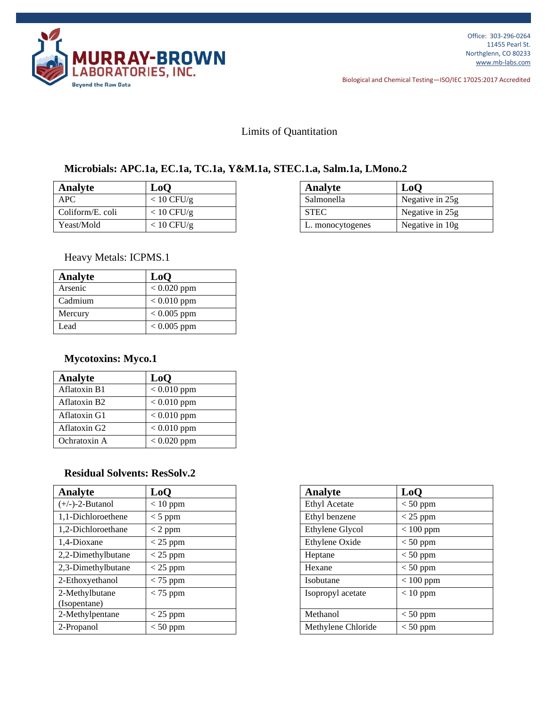

Biological and Chemical Testing—ISO/IEC 17025:2017 Accredited

## Limits of Quantitation

## **Microbials: APC.1a, EC.1a, TC.1a, Y&M.1a, STEC.1.a, Salm.1a, LMono.2**

| Analyte          | ${\bf LoO}$          | Analyte          | LoO             |
|------------------|----------------------|------------------|-----------------|
| <b>APC</b>       | $< 10 \text{ CFU/g}$ | Salmonella       | Negative in 25g |
| Coliform/E. coli | $< 10$ CFU/g         | <b>STEC</b>      | Negative in 25g |
| Yeast/Mold       | $< 10$ CFU/g         | L. monocytogenes | Negative in 10g |

| Analyte          | LoO             |
|------------------|-----------------|
| Salmonella       | Negative in 25g |
| <b>STEC</b>      | Negative in 25g |
| L. monocytogenes | Negative in 10g |

Heavy Metals: ICPMS.1

| Analyte | L <sub>0</sub> O |
|---------|------------------|
| Arsenic | $< 0.020$ ppm    |
| Cadmium | $< 0.010$ ppm    |
| Mercury | $0.005$ ppm      |
| Lead    | $< 0.005$ ppm    |

## **Mycotoxins: Myco.1**

| Analyte                  | LoQ           |
|--------------------------|---------------|
| Aflatoxin B1             | $< 0.010$ ppm |
| Aflatoxin B <sub>2</sub> | $< 0.010$ ppm |
| Aflatoxin G1             | $< 0.010$ ppm |
| Aflatoxin G2             | $< 0.010$ ppm |
| Ochratoxin A             | $< 0.020$ ppm |

## **Residual Solvents: ResSolv.2**

| Analyte                        | LoQ        | <b>Analyte</b>       | LoO         |
|--------------------------------|------------|----------------------|-------------|
| $(+/-)-2-Butanol$              | $< 10$ ppm | <b>Ethyl Acetate</b> | $<$ 50 ppm  |
| 1,1-Dichloroethene             | $<$ 5 ppm  | Ethyl benzene        | $<$ 25 ppm  |
| 1,2-Dichloroethane             | $<$ 2 ppm  | Ethylene Glycol      | $< 100$ ppm |
| 1,4-Dioxane                    | $<$ 25 ppm | Ethylene Oxide       | $< 50$ ppm  |
| 2,2-Dimethylbutane             | $<$ 25 ppm | Heptane              | $<$ 50 ppm  |
| 2,3-Dimethylbutane             | $<$ 25 ppm | Hexane               | $<$ 50 ppm  |
| 2-Ethoxyethanol                | $<$ 75 ppm | Isobutane            | $< 100$ ppm |
| 2-Methylbutane<br>(Isopentane) | $<$ 75 ppm | Isopropyl acetate    | $< 10$ ppm  |
| 2-Methylpentane                | $<$ 25 ppm | Methanol             | $<$ 50 ppm  |
| 2-Propanol                     | $< 50$ ppm | Methylene Chloride   | $<$ 50 ppm  |

| LoQ        | <b>Analyte</b>       | LoQ         |
|------------|----------------------|-------------|
| $< 10$ ppm | <b>Ethyl Acetate</b> | $< 50$ ppm  |
| $<$ 5 ppm  | Ethyl benzene        | $<$ 25 ppm  |
| $< 2$ ppm  | Ethylene Glycol      | $< 100$ ppm |
| $<$ 25 ppm | Ethylene Oxide       | $< 50$ ppm  |
| $<$ 25 ppm | Heptane              | $< 50$ ppm  |
| $<$ 25 ppm | Hexane               | $<$ 50 ppm  |
| $<$ 75 ppm | Isobutane            | $< 100$ ppm |
| $<$ 75 ppm | Isopropyl acetate    | $< 10$ ppm  |
| $<$ 25 ppm | Methanol             | $< 50$ ppm  |
| $< 50$ ppm | Methylene Chloride   | $< 50$ ppm  |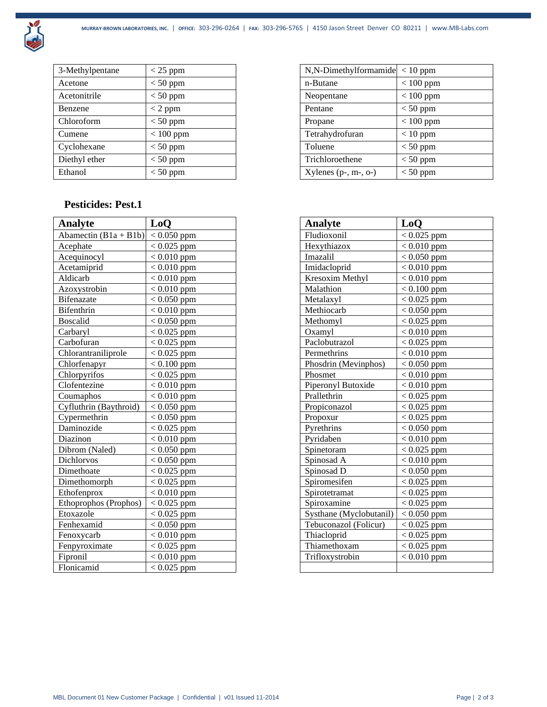

| 3-Methylpentane | $<$ 25 ppm  | $N, N$ -Dimethylformamide < 10 ppm |             |
|-----------------|-------------|------------------------------------|-------------|
| Acetone         | $< 50$ ppm  | n-Butane                           | $< 100$ ppm |
| Acetonitrile    | $< 50$ ppm  | Neopentane                         | $< 100$ ppm |
| Benzene         | $<$ 2 ppm   | Pentane                            | $< 50$ ppm  |
| Chloroform      | $< 50$ ppm  | Propane                            | $< 100$ ppm |
| Cumene          | $< 100$ ppm | Tetrahydrofuran                    | $< 10$ ppm  |
| Cyclohexane     | $< 50$ ppm  | Toluene                            | $< 50$ ppm  |
| Diethyl ether   | $< 50$ ppm  | Trichloroethene                    | $< 50$ ppm  |
| Ethanol         | $< 50$ ppm  | Xylenes $(p-, m-, o-)$             | $< 50$ ppm  |

## **Pesticides: Pest.1**

| Analyte                 | LoQ           | <b>Analyte</b> |                         | L <sub>0</sub> O |
|-------------------------|---------------|----------------|-------------------------|------------------|
| Abamectin $(B1a + B1b)$ | $< 0.050$ ppm |                | Fludioxonil             | $< 0.025$ ppm    |
| Acephate                | $< 0.025$ ppm |                | Hexythiazox             | $< 0.010$ ppm    |
| Acequinocyl             | $< 0.010$ ppm | Imazalil       |                         | $< 0.050$ ppm    |
| Acetamiprid             | $< 0.010$ ppm |                | Imidacloprid            | $< 0.010$ ppm    |
| Aldicarb                | $< 0.010$ ppm |                | Kresoxim Methyl         | $< 0.010$ ppm    |
| Azoxystrobin            | $< 0.010$ ppm | Malathion      |                         | $< 0.100$ ppm    |
| Bifenazate              | $< 0.050$ ppm | Metalaxyl      |                         | $< 0.025$ ppm    |
| Bifenthrin              | $< 0.010$ ppm |                | Methiocarb              | $< 0.050$ ppm    |
| <b>Boscalid</b>         | $< 0.050$ ppm |                | Methomyl                | $< 0.025$ ppm    |
| Carbaryl                | $< 0.025$ ppm | Oxamyl         |                         | $< 0.010$ ppm    |
| Carbofuran              | $< 0.025$ ppm |                | Paclobutrazol           | $< 0.025$ ppm    |
| Chlorantraniliprole     | $< 0.025$ ppm |                | Permethrins             | $< 0.010$ ppm    |
| Chlorfenapyr            | $< 0.100$ ppm |                | Phosdrin (Mevinphos)    | $< 0.050$ ppm    |
| Chlorpyrifos            | $< 0.025$ ppm | Phosmet        |                         | $< 0.010$ ppm    |
| Clofentezine            | $< 0.010$ ppm |                | Piperonyl Butoxide      | $< 0.010$ ppm    |
| Coumaphos               | $< 0.010$ ppm |                | Prallethrin             | $< 0.025$ ppm    |
| Cyfluthrin (Baythroid)  | $< 0.050$ ppm |                | Propiconazol            | $< 0.025$ ppm    |
| Cypermethrin            | $< 0.050$ ppm | Propoxur       |                         | $< 0.025$ ppm    |
| Daminozide              | $< 0.025$ ppm | Pyrethrins     |                         | $< 0.050$ ppm    |
| Diazinon                | $< 0.010$ ppm | Pyridaben      |                         | $< 0.010$ ppm    |
| Dibrom (Naled)          | $< 0.050$ ppm |                | Spinetoram              | $< 0.025$ ppm    |
| <b>Dichlorvos</b>       | $< 0.050$ ppm |                | Spinosad A              | $< 0.010$ ppm    |
| Dimethoate              | $< 0.025$ ppm |                | Spinosad D              | $< 0.050$ ppm    |
| Dimethomorph            | $< 0.025$ ppm |                | Spiromesifen            | $< 0.025$ ppm    |
| Ethofenprox             | $< 0.010$ ppm |                | Spirotetramat           | $< 0.025$ ppm    |
| Ethoprophos (Prophos)   | $< 0.025$ ppm |                | Spiroxamine             | $< 0.025$ ppm    |
| Etoxazole               | $< 0.025$ ppm |                | Systhane (Myclobutanil) | $< 0.050$ ppm    |
| Fenhexamid              | $< 0.050$ ppm |                | Tebuconazol (Folicur)   | $< 0.025$ ppm    |
| Fenoxycarb              | $< 0.010$ ppm |                | Thiacloprid             | $< 0.025$ ppm    |
| Fenpyroximate           | $< 0.025$ ppm |                | Thiamethoxam            | $< 0.025$ ppm    |
| Fipronil                | $< 0.010$ ppm |                | Trifloxystrobin         | $< 0.010$ ppm    |
| Flonicamid              | $< 0.025$ ppm |                |                         |                  |

| N,N-Dimethylformamide  | $< 10$ ppm  |
|------------------------|-------------|
| n-Butane               | $< 100$ ppm |
| Neopentane             | $< 100$ ppm |
| Pentane                | $< 50$ ppm  |
| Propane                | $< 100$ ppm |
| Tetrahydrofuran        | $< 10$ ppm  |
| Toluene                | $< 50$ ppm  |
| Trichloroethene        | $< 50$ ppm  |
| Xylenes $(p-, m-, o-)$ | $< 50$ ppm  |

| <b>Analyte</b>          | LoQ           |  |
|-------------------------|---------------|--|
| Fludioxonil             | $< 0.025$ ppm |  |
| Hexythiazox             | $< 0.010$ ppm |  |
| Imazalil                | $< 0.050$ ppm |  |
| Imidacloprid            | $< 0.010$ ppm |  |
| Kresoxim Methyl         | $< 0.010$ ppm |  |
| Malathion               | $< 0.100$ ppm |  |
| Metalaxyl               | $< 0.025$ ppm |  |
| Methiocarb              | $< 0.050$ ppm |  |
| Methomyl                | $< 0.025$ ppm |  |
| Oxamyl                  | $< 0.010$ ppm |  |
| Paclobutrazol           | $< 0.025$ ppm |  |
| Permethrins             | $< 0.010$ ppm |  |
| Phosdrin (Mevinphos)    | $< 0.050$ ppm |  |
| Phosmet                 | $< 0.010$ ppm |  |
| Piperonyl Butoxide      | $< 0.010$ ppm |  |
| Prallethrin             | $< 0.025$ ppm |  |
| Propiconazol            | $< 0.025$ ppm |  |
| Propoxur                | $< 0.025$ ppm |  |
| Pyrethrins              | $< 0.050$ ppm |  |
| Pyridaben               | $< 0.010$ ppm |  |
| Spinetoram              | $< 0.025$ ppm |  |
| Spinosad A              | $< 0.010$ ppm |  |
| Spinosad D              | $< 0.050$ ppm |  |
| Spiromesifen            | $< 0.025$ ppm |  |
| Spirotetramat           | $< 0.025$ ppm |  |
| Spiroxamine             | $< 0.025$ ppm |  |
| Systhane (Myclobutanil) | $< 0.050$ ppm |  |
| Tebuconazol (Folicur)   | $< 0.025$ ppm |  |
| Thiacloprid             | $< 0.025$ ppm |  |
| Thiamethoxam            | $< 0.025$ ppm |  |
| Trifloxystrobin         | $< 0.010$ ppm |  |
|                         |               |  |